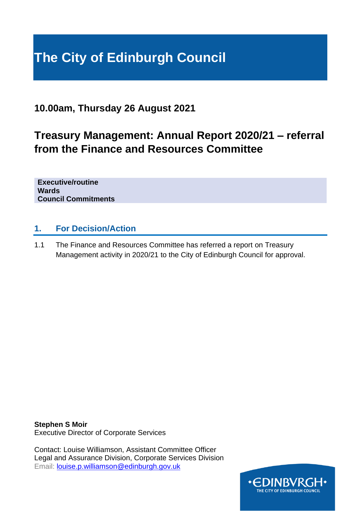# **The City of Edinburgh Council**

# **10.00am, Thursday 26 August 2021**

# **Treasury Management: Annual Report 2020/21 – referral from the Finance and Resources Committee**

**Executive/routine Wards Council Commitments**

## **1. For Decision/Action**

1.1 The Finance and Resources Committee has referred a report on Treasury Management activity in 2020/21 to the City of Edinburgh Council for approval.

**Stephen S Moir** Executive Director of Corporate Services

Contact: Louise Williamson, Assistant Committee Officer Legal and Assurance Division, Corporate Services Division Email: [louise.p.williamson@edinburgh.gov.uk](mailto:louise.p.williamson@edinburgh.gov.uk)

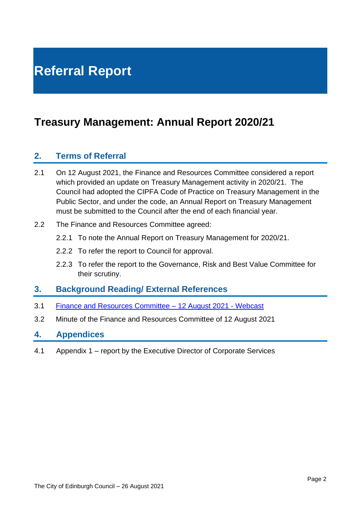# **Referral Report**

# **Treasury Management: Annual Report 2020/21**

## **2. Terms of Referral**

- 2.1 On 12 August 2021, the Finance and Resources Committee considered a report which provided an update on Treasury Management activity in 2020/21. The Council had adopted the CIPFA Code of Practice on Treasury Management in the Public Sector, and under the code, an Annual Report on Treasury Management must be submitted to the Council after the end of each financial year.
- 2.2 The Finance and Resources Committee agreed:
	- 2.2.1 To note the Annual Report on Treasury Management for 2020/21.
	- 2.2.2 To refer the report to Council for approval.
	- 2.2.3 To refer the report to the Governance, Risk and Best Value Committee for their scrutiny.

### **3. Background Reading/ External References**

- 3.1 [Finance and Resources Committee –](https://edinburgh.public-i.tv/core/portal/webcast_interactive/591851) 12 August 2021 Webcast
- 3.2 Minute of the Finance and Resources Committee of 12 August 2021

#### **4. Appendices**

4.1 Appendix 1 – report by the Executive Director of Corporate Services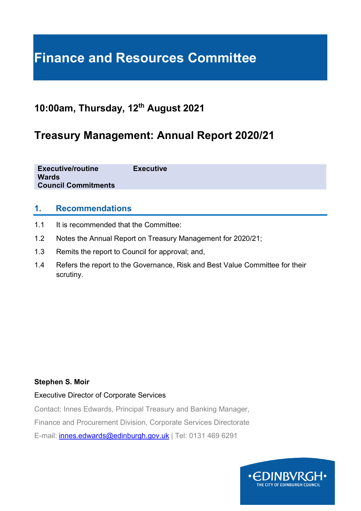# **Finance and Resources Committee**

# **10:00am, Thursday, 12th August 2021**

# **Treasury Management: Annual Report 2020/21**

**Executive/routine Executive Wards Council Commitments**

## **1. Recommendations**

- 1.1 It is recommended that the Committee:
- 1.2 Notes the Annual Report on Treasury Management for 2020/21;
- 1.3 Remits the report to Council for approval; and,
- 1.4 Refers the report to the Governance, Risk and Best Value Committee for their scrutiny.

#### **Stephen S. Moir**

#### Executive Director of Corporate Services

Contact: Innes Edwards, Principal Treasury and Banking Manager, Finance and Procurement Division, Corporate Services Directorate

E-mail: [innes.edwards@edinburgh.gov.uk](mailto:innes.edwards@edinburgh.gov.uk) | Tel: 0131 469 6291

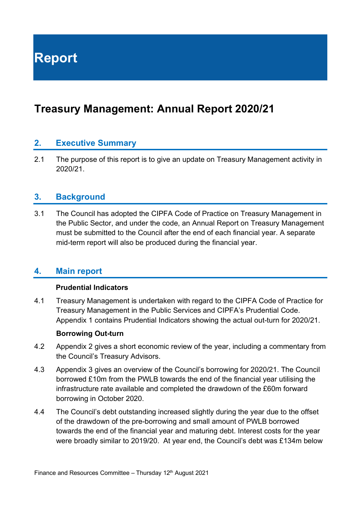**Report**

# **Treasury Management: Annual Report 2020/21**

## **2. Executive Summary**

2.1 The purpose of this report is to give an update on Treasury Management activity in 2020/21.

#### **3. Background**

3.1 The Council has adopted the CIPFA Code of Practice on Treasury Management in the Public Sector, and under the code, an Annual Report on Treasury Management must be submitted to the Council after the end of each financial year. A separate mid-term report will also be produced during the financial year.

### **4. Main report**

#### **Prudential Indicators**

4.1 Treasury Management is undertaken with regard to the CIPFA Code of Practice for Treasury Management in the Public Services and CIPFA's Prudential Code. Appendix 1 contains Prudential Indicators showing the actual out-turn for 2020/21.

#### **Borrowing Out-turn**

- 4.2 Appendix 2 gives a short economic review of the year, including a commentary from the Council's Treasury Advisors.
- 4.3 Appendix 3 gives an overview of the Council's borrowing for 2020/21. The Council borrowed £10m from the PWLB towards the end of the financial year utilising the infrastructure rate available and completed the drawdown of the £60m forward borrowing in October 2020.
- 4.4 The Council's debt outstanding increased slightly during the year due to the offset of the drawdown of the pre-borrowing and small amount of PWLB borrowed towards the end of the financial year and maturing debt. Interest costs for the year were broadly similar to 2019/20. At year end, the Council's debt was £134m below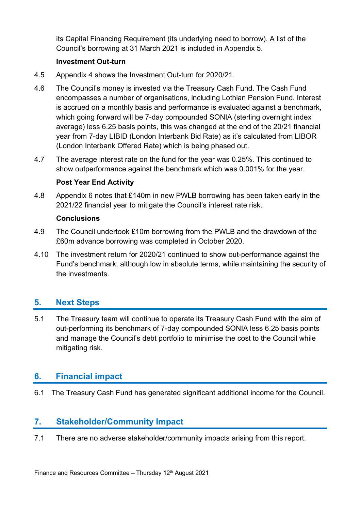its Capital Financing Requirement (its underlying need to borrow). A list of the Council's borrowing at 31 March 2021 is included in Appendix 5.

#### **Investment Out-turn**

- 4.5 Appendix 4 shows the Investment Out-turn for 2020/21.
- 4.6 The Council's money is invested via the Treasury Cash Fund. The Cash Fund encompasses a number of organisations, including Lothian Pension Fund. Interest is accrued on a monthly basis and performance is evaluated against a benchmark, which going forward will be 7-day compounded SONIA (sterling overnight index average) less 6.25 basis points, this was changed at the end of the 20/21 financial year from 7-day LIBID (London Interbank Bid Rate) as it's calculated from LIBOR (London Interbank Offered Rate) which is being phased out.
- 4.7 The average interest rate on the fund for the year was 0.25%. This continued to show outperformance against the benchmark which was 0.001% for the year.

### **Post Year End Activity**

4.8 Appendix 6 notes that £140m in new PWLB borrowing has been taken early in the 2021/22 financial year to mitigate the Council's interest rate risk.

#### **Conclusions**

- 4.9 The Council undertook £10m borrowing from the PWLB and the drawdown of the £60m advance borrowing was completed in October 2020.
- 4.10 The investment return for 2020/21 continued to show out-performance against the Fund's benchmark, although low in absolute terms, while maintaining the security of the investments.

## **5. Next Steps**

5.1 The Treasury team will continue to operate its Treasury Cash Fund with the aim of out-performing its benchmark of 7-day compounded SONIA less 6.25 basis points and manage the Council's debt portfolio to minimise the cost to the Council while mitigating risk.

## **6. Financial impact**

6.1 The Treasury Cash Fund has generated significant additional income for the Council.

## **7. Stakeholder/Community Impact**

7.1 There are no adverse stakeholder/community impacts arising from this report.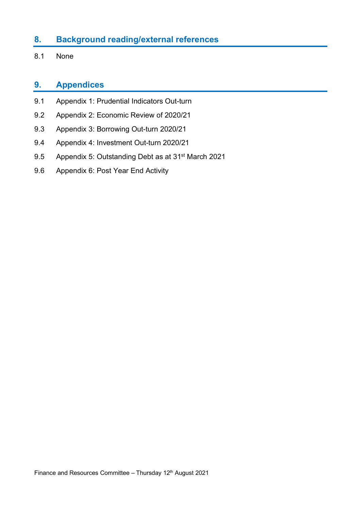## **8. Background reading/external references**

8.1 None

## **9. Appendices**

- 9.1 Appendix 1: Prudential Indicators Out-turn
- 9.2 Appendix 2: Economic Review of 2020/21
- 9.3 Appendix 3: Borrowing Out-turn 2020/21
- 9.4 Appendix 4: Investment Out-turn 2020/21
- 9.5 Appendix 5: Outstanding Debt as at 31st March 2021
- 9.6 Appendix 6: Post Year End Activity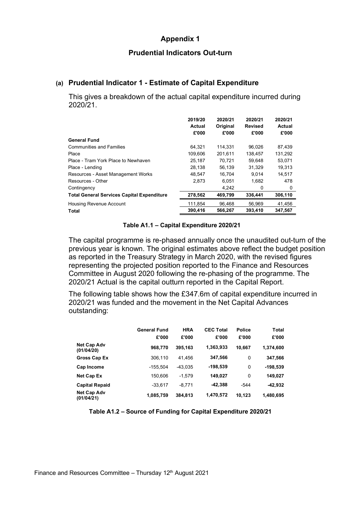#### **Prudential Indicators Out-turn**

#### **(a) Prudential Indicator 1 - Estimate of Capital Expenditure**

This gives a breakdown of the actual capital expenditure incurred during 2020/21.

|                                                   | 2019/20<br><b>Actual</b><br>£'000 | 2020/21<br>Original<br>£'000 | 2020/21<br><b>Revised</b><br>£'000 | 2020/21<br>Actual<br>£'000 |
|---------------------------------------------------|-----------------------------------|------------------------------|------------------------------------|----------------------------|
| <b>General Fund</b>                               |                                   |                              |                                    |                            |
| <b>Communities and Families</b>                   | 64.321                            | 114.331                      | 96.026                             | 87.439                     |
| Place                                             | 109.606                           | 201.611                      | 138.457                            | 131.292                    |
| Place - Tram York Place to Newhaven               | 25.187                            | 70.721                       | 59.648                             | 53.071                     |
| Place - Lending                                   | 28,138                            | 56,139                       | 31.329                             | 19.313                     |
| Resources - Asset Management Works                | 48.547                            | 16,704                       | 9.014                              | 14.517                     |
| Resources - Other                                 | 2.873                             | 6.051                        | 1.682                              | 478                        |
| Contingency                                       |                                   | 4.242                        | 0                                  | 0                          |
| <b>Total General Services Capital Expenditure</b> | 278,562                           | 469,799                      | 336,441                            | 306,110                    |
| <b>Housing Revenue Account</b>                    | 111,854                           | 96.468                       | 56.969                             | 41,456                     |
| Total                                             | 390.416                           | 566.267                      | 393.410                            | 347.567                    |

#### **Table A1.1 – Capital Expenditure 2020/21**

The capital programme is re-phased annually once the unaudited out-turn of the previous year is known. The original estimates above reflect the budget position as reported in the Treasury Strategy in March 2020, with the revised figures representing the projected position reported to the Finance and Resources Committee in August 2020 following the re-phasing of the programme. The 2020/21 Actual is the capital outturn reported in the Capital Report.

The following table shows how the £347.6m of capital expenditure incurred in 2020/21 was funded and the movement in the Net Capital Advances outstanding:

|                                  | <b>General Fund</b><br>£'000 | <b>HRA</b><br>£'000 | <b>CEC Total</b><br>£'000 | <b>Police</b><br>£'000 | <b>Total</b><br>£'000 |
|----------------------------------|------------------------------|---------------------|---------------------------|------------------------|-----------------------|
| <b>Net Cap Adv</b><br>(01/04/20) | 968,770                      | 395,163             | 1,363,933                 | 10,667                 | 1,374,600             |
| Gross Cap Ex                     | 306,110                      | 41.456              | 347,566                   | 0                      | 347,566               |
| Cap Income                       | $-155,504$                   | $-43.035$           | -198,539                  | 0                      | $-198,539$            |
| Net Cap Ex                       | 150,606                      | $-1.579$            | 149,027                   | 0                      | 149,027               |
| <b>Capital Repaid</b>            | $-33.617$                    | $-8.771$            | $-42,388$                 | $-544$                 | $-42,932$             |
| <b>Net Cap Adv</b><br>(01/04/21) | 1,085,759                    | 384,813             | 1,470,572                 | 10,123                 | 1,480,695             |

**Table A1.2 – Source of Funding for Capital Expenditure 2020/21**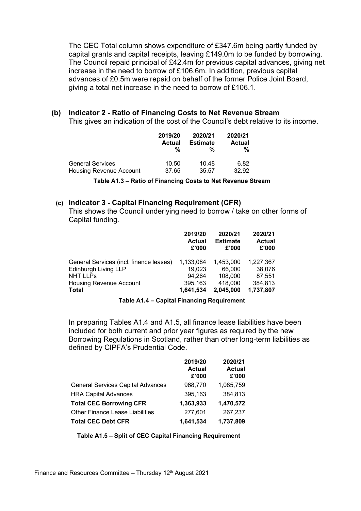The CEC Total column shows expenditure of £347.6m being partly funded by capital grants and capital receipts, leaving £149.0m to be funded by borrowing. The Council repaid principal of £42.4m for previous capital advances, giving net increase in the need to borrow of £106.6m. In addition, previous capital advances of £0.5m were repaid on behalf of the former Police Joint Board, giving a total net increase in the need to borrow of £106.1.

#### **(b) Indicator 2 - Ratio of Financing Costs to Net Revenue Stream**

This gives an indication of the cost of the Council's debt relative to its income.

|                                | 2019/20       | 2020/21         | 2020/21       |
|--------------------------------|---------------|-----------------|---------------|
|                                | <b>Actual</b> | <b>Estimate</b> | <b>Actual</b> |
|                                | %             | %               | %             |
| <b>General Services</b>        | 10.50         | 10.48           | 6.82          |
| <b>Housing Revenue Account</b> | 37.65         | 35.57           | 32.92         |

**Table A1.3 – Ratio of Financing Costs to Net Revenue Stream**

#### **(c) Indicator 3 - Capital Financing Requirement (CFR)**

This shows the Council underlying need to borrow / take on other forms of Capital funding.

|                                         | 2019/20<br><b>Actual</b><br>£'000 | 2020/21<br><b>Estimate</b><br>£'000 | 2020/21<br><b>Actual</b><br>£'000 |
|-----------------------------------------|-----------------------------------|-------------------------------------|-----------------------------------|
| General Services (incl. finance leases) | 1,133,084                         | 1,453,000                           | 1,227,367                         |
| <b>Edinburgh Living LLP</b>             | 19,023                            | 66,000                              | 38,076                            |
| <b>NHT LLPs</b>                         | 94,264                            | 108,000                             | 87.551                            |
| Housing Revenue Account                 | 395,163                           | 418,000                             | 384,813                           |
| <b>Total</b>                            | 1,641,534                         | 2,045,000                           | 1,737,807                         |

#### **Table A1.4 – Capital Financing Requirement**

In preparing Tables A1.4 and A1.5, all finance lease liabilities have been included for both current and prior year figures as required by the new Borrowing Regulations in Scotland, rather than other long-term liabilities as defined by CIPFA's Prudential Code.

|                                          | 2019/20<br><b>Actual</b><br>£'000 | 2020/21<br><b>Actual</b><br>£'000 |
|------------------------------------------|-----------------------------------|-----------------------------------|
| <b>General Services Capital Advances</b> | 968,770                           | 1,085,759                         |
| <b>HRA Capital Advances</b>              | 395,163                           | 384,813                           |
| <b>Total CEC Borrowing CFR</b>           | 1,363,933                         | 1,470,572                         |
| Other Finance Lease Liabilities          | 277,601                           | 267,237                           |
| <b>Total CEC Debt CFR</b>                | 1,641,534                         | 1,737,809                         |

 **Table A1.5 – Split of CEC Capital Financing Requirement**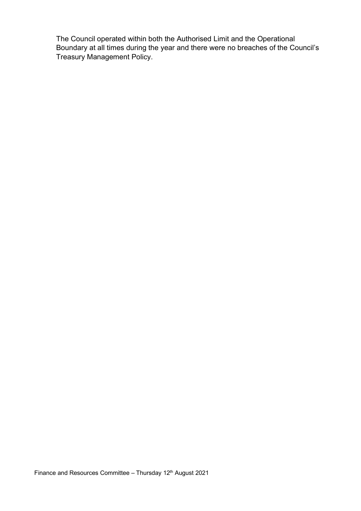The Council operated within both the Authorised Limit and the Operational Boundary at all times during the year and there were no breaches of the Council's Treasury Management Policy.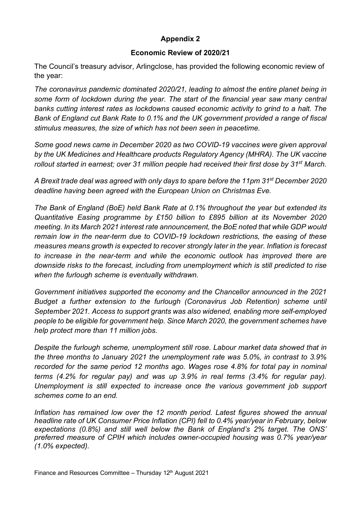#### **Economic Review of 2020/21**

The Council's treasury advisor, Arlingclose, has provided the following economic review of the year:

*The coronavirus pandemic dominated 2020/21, leading to almost the entire planet being in some form of lockdown during the year. The start of the financial year saw many central banks cutting interest rates as lockdowns caused economic activity to grind to a halt. The Bank of England cut Bank Rate to 0.1% and the UK government provided a range of fiscal stimulus measures, the size of which has not been seen in peacetime.*

*Some good news came in December 2020 as two COVID-19 vaccines were given approval by the UK Medicines and Healthcare products Regulatory Agency (MHRA). The UK vaccine rollout started in earnest; over 31 million people had received their first dose by 31st March.*

*A Brexit trade deal was agreed with only days to spare before the 11pm 31st December 2020 deadline having been agreed with the European Union on Christmas Eve.*

*The Bank of England (BoE) held Bank Rate at 0.1% throughout the year but extended its Quantitative Easing programme by £150 billion to £895 billion at its November 2020 meeting. In its March 2021 interest rate announcement, the BoE noted that while GDP would remain low in the near-term due to COVID-19 lockdown restrictions, the easing of these measures means growth is expected to recover strongly later in the year. Inflation is forecast to increase in the near-term and while the economic outlook has improved there are downside risks to the forecast, including from unemployment which is still predicted to rise when the furlough scheme is eventually withdrawn.*

*Government initiatives supported the economy and the Chancellor announced in the 2021 Budget a further extension to the furlough (Coronavirus Job Retention) scheme until September 2021. Access to support grants was also widened, enabling more self-employed people to be eligible for government help. Since March 2020, the government schemes have help protect more than 11 million jobs.* 

*Despite the furlough scheme, unemployment still rose. Labour market data showed that in the three months to January 2021 the unemployment rate was 5.0%, in contrast to 3.9% recorded for the same period 12 months ago. Wages rose 4.8% for total pay in nominal terms (4.2% for regular pay) and was up 3.9% in real terms (3.4% for regular pay). Unemployment is still expected to increase once the various government job support schemes come to an end.*

*Inflation has remained low over the 12 month period. Latest figures showed the annual headline rate of UK Consumer Price Inflation (CPI) fell to 0.4% year/year in February, below expectations (0.8%) and still well below the Bank of England's 2% target. The ONS' preferred measure of CPIH which includes owner-occupied housing was 0.7% year/year (1.0% expected).*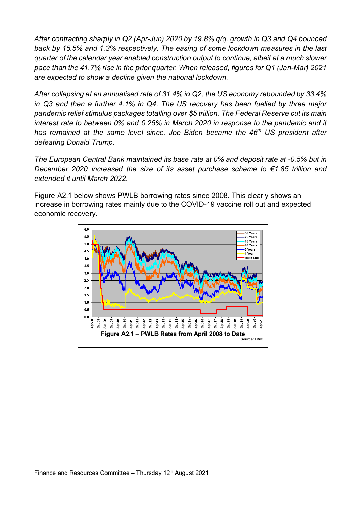*After contracting sharply in Q2 (Apr-Jun) 2020 by 19.8% q/q, growth in Q3 and Q4 bounced back by 15.5% and 1.3% respectively. The easing of some lockdown measures in the last quarter of the calendar year enabled construction output to continue, albeit at a much slower pace than the 41.7% rise in the prior quarter. When released, figures for Q1 (Jan-Mar) 2021 are expected to show a decline given the national lockdown.* 

*After collapsing at an annualised rate of 31.4% in Q2, the US economy rebounded by 33.4% in Q3 and then a further 4.1% in Q4. The US recovery has been fuelled by three major pandemic relief stimulus packages totalling over \$5 trillion. The Federal Reserve cut its main interest rate to between 0% and 0.25% in March 2020 in response to the pandemic and it has remained at the same level since. Joe Biden became the 46th US president after defeating Donald Trump.*

*The European Central Bank maintained its base rate at 0% and deposit rate at -0.5% but in December 2020 increased the size of its asset purchase scheme to €1.85 trillion and extended it until March 2022.*

Figure A2.1 below shows PWLB borrowing rates since 2008. This clearly shows an increase in borrowing rates mainly due to the COVID-19 vaccine roll out and expected economic recovery.

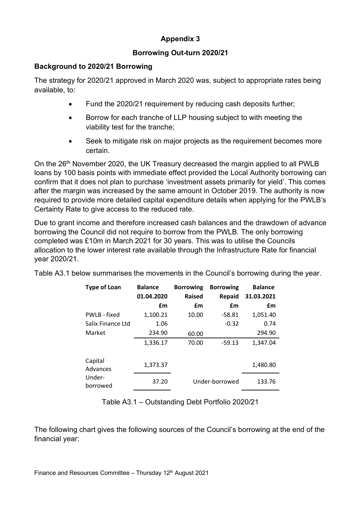### **Borrowing Out-turn 2020/21**

#### **Background to 2020/21 Borrowing**

The strategy for 2020/21 approved in March 2020 was, subject to appropriate rates being available, to:

- Fund the 2020/21 requirement by reducing cash deposits further;
- Borrow for each tranche of LLP housing subject to with meeting the viability test for the tranche;
- Seek to mitigate risk on major projects as the requirement becomes more certain.

On the 26<sup>th</sup> November 2020, the UK Treasury decreased the margin applied to all PWLB loans by 100 basis points with immediate effect provided the Local Authority borrowing can confirm that it does not plan to purchase 'investment assets primarily for yield'. This comes after the margin was increased by the same amount in October 2019. The authority is now required to provide more detailed capital expenditure details when applying for the PWLB's Certainty Rate to give access to the reduced rate.

Due to grant income and therefore increased cash balances and the drawdown of advance borrowing the Council did not require to borrow from the PWLB. The only borrowing completed was £10m in March 2021 for 30 years. This was to utilise the Councils allocation to the lower interest rate available through the Infrastructure Rate for financial year 2020/21.

|  | Table A3.1 below summarises the movements in the Council's borrowing during the year. |  |  |  |  |  |
|--|---------------------------------------------------------------------------------------|--|--|--|--|--|
|  |                                                                                       |  |  |  |  |  |

| <b>Type of Loan</b> | <b>Balance</b> | <b>Borrowing</b> | <b>Borrowing</b> | <b>Balance</b> |
|---------------------|----------------|------------------|------------------|----------------|
|                     | 01.04.2020     | <b>Raised</b>    | <b>Repaid</b>    | 31.03.2021     |
|                     | £m             | £m               | £m               | £m             |
| PWLB - fixed        | 1,100.21       | 10.00            | $-58.81$         | 1,051.40       |
| Salix Finance Ltd   | 1.06           |                  | $-0.32$          | 0.74           |
| Market              | 234.90         | 60.00            |                  | 294.90         |
|                     | 1,336.17       | 70.00            | $-59.13$         | 1,347.04       |
| Capital<br>Advances | 1,373.37       |                  |                  | 1,480.80       |
| Under-<br>borrowed  | 37.20          |                  | Under-borrowed   | 133.76         |

Table A3.1 – Outstanding Debt Portfolio 2020/21

The following chart gives the following sources of the Council's borrowing at the end of the financial year: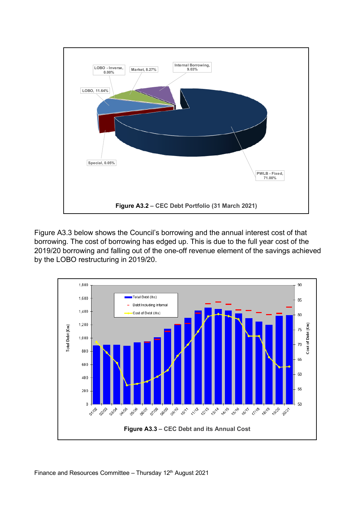

Figure A3.3 below shows the Council's borrowing and the annual interest cost of that borrowing. The cost of borrowing has edged up. This is due to the full year cost of the 2019/20 borrowing and falling out of the one-off revenue element of the savings achieved by the LOBO restructuring in 2019/20.

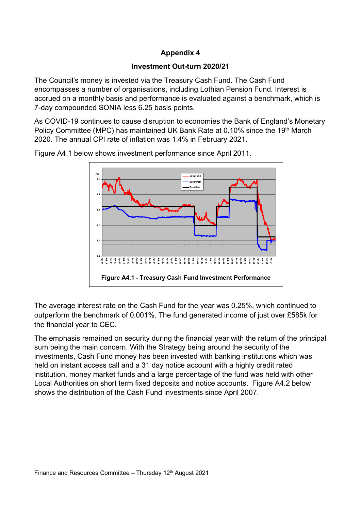#### **Investment Out-turn 2020/21**

The Council's money is invested via the Treasury Cash Fund. The Cash Fund encompasses a number of organisations, including Lothian Pension Fund. Interest is accrued on a monthly basis and performance is evaluated against a benchmark, which is 7-day compounded SONIA less 6.25 basis points.

As COVID-19 continues to cause disruption to economies the Bank of England's Monetary Policy Committee (MPC) has maintained UK Bank Rate at 0.10% since the 19<sup>th</sup> March 2020. The annual CPI rate of inflation was 1.4% in February 2021.



Figure A4.1 below shows investment performance since April 2011.

The average interest rate on the Cash Fund for the year was 0.25%, which continued to outperform the benchmark of 0.001%. The fund generated income of just over £585k for the financial year to CEC.

The emphasis remained on security during the financial year with the return of the principal sum being the main concern. With the Strategy being around the security of the investments, Cash Fund money has been invested with banking institutions which was held on instant access call and a 31 day notice account with a highly credit rated institution, money market funds and a large percentage of the fund was held with other Local Authorities on short term fixed deposits and notice accounts. Figure A4.2 below shows the distribution of the Cash Fund investments since April 2007.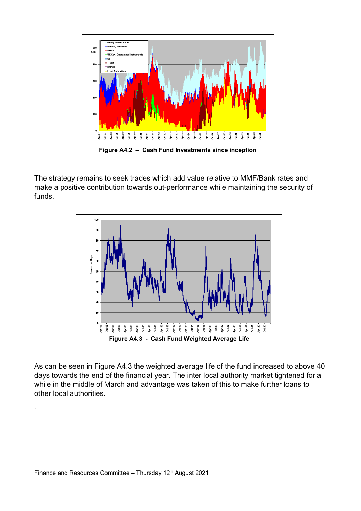

The strategy remains to seek trades which add value relative to MMF/Bank rates and make a positive contribution towards out-performance while maintaining the security of funds.



As can be seen in Figure A4.3 the weighted average life of the fund increased to above 40 days towards the end of the financial year. The inter local authority market tightened for a while in the middle of March and advantage was taken of this to make further loans to other local authorities.

.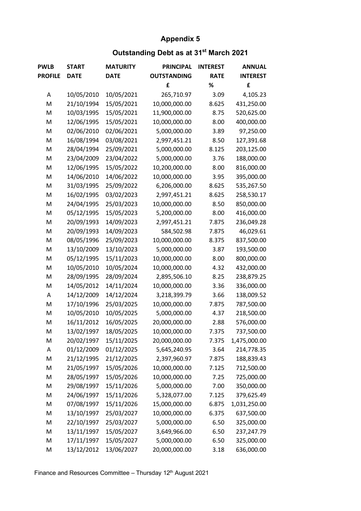# **Outstanding Debt as at 31st March 2021**

| <b>PWLB</b>    | <b>START</b> | <b>MATURITY</b> | <b>PRINCIPAL</b>   | <b>INTEREST</b> | <b>ANNUAL</b>   |
|----------------|--------------|-----------------|--------------------|-----------------|-----------------|
| <b>PROFILE</b> | <b>DATE</b>  | <b>DATE</b>     | <b>OUTSTANDING</b> | <b>RATE</b>     | <b>INTEREST</b> |
|                |              |                 | £                  | %               | £               |
| А              | 10/05/2010   | 10/05/2021      | 265,710.97         | 3.09            | 4,105.23        |
| M              | 21/10/1994   | 15/05/2021      | 10,000,000.00      | 8.625           | 431,250.00      |
| M              | 10/03/1995   | 15/05/2021      | 11,900,000.00      | 8.75            | 520,625.00      |
| M              | 12/06/1995   | 15/05/2021      | 10,000,000.00      | 8.00            | 400,000.00      |
| M              | 02/06/2010   | 02/06/2021      | 5,000,000.00       | 3.89            | 97,250.00       |
| M              | 16/08/1994   | 03/08/2021      | 2,997,451.21       | 8.50            | 127,391.68      |
| M              | 28/04/1994   | 25/09/2021      | 5,000,000.00       | 8.125           | 203,125.00      |
| M              | 23/04/2009   | 23/04/2022      | 5,000,000.00       | 3.76            | 188,000.00      |
| M              | 12/06/1995   | 15/05/2022      | 10,200,000.00      | 8.00            | 816,000.00      |
| M              | 14/06/2010   | 14/06/2022      | 10,000,000.00      | 3.95            | 395,000.00      |
| M              | 31/03/1995   | 25/09/2022      | 6,206,000.00       | 8.625           | 535,267.50      |
| M              | 16/02/1995   | 03/02/2023      | 2,997,451.21       | 8.625           | 258,530.17      |
| M              | 24/04/1995   | 25/03/2023      | 10,000,000.00      | 8.50            | 850,000.00      |
| M              | 05/12/1995   | 15/05/2023      | 5,200,000.00       | 8.00            | 416,000.00      |
| M              | 20/09/1993   | 14/09/2023      | 2,997,451.21       | 7.875           | 236,049.28      |
| M              | 20/09/1993   | 14/09/2023      | 584,502.98         | 7.875           | 46,029.61       |
| M              | 08/05/1996   | 25/09/2023      | 10,000,000.00      | 8.375           | 837,500.00      |
| M              | 13/10/2009   | 13/10/2023      | 5,000,000.00       | 3.87            | 193,500.00      |
| M              | 05/12/1995   | 15/11/2023      | 10,000,000.00      | 8.00            | 800,000.00      |
| M              | 10/05/2010   | 10/05/2024      | 10,000,000.00      | 4.32            | 432,000.00      |
| M              | 28/09/1995   | 28/09/2024      | 2,895,506.10       | 8.25            | 238,879.25      |
| M              | 14/05/2012   | 14/11/2024      | 10,000,000.00      | 3.36            | 336,000.00      |
| А              | 14/12/2009   | 14/12/2024      | 3,218,399.79       | 3.66            | 138,009.52      |
| M              | 17/10/1996   | 25/03/2025      | 10,000,000.00      | 7.875           | 787,500.00      |
| M              | 10/05/2010   | 10/05/2025      | 5,000,000.00       | 4.37            | 218,500.00      |
| M              | 16/11/2012   | 16/05/2025      | 20,000,000.00      | 2.88            | 576,000.00      |
| M              | 13/02/1997   | 18/05/2025      | 10,000,000.00      | 7.375           | 737,500.00      |
| M              | 20/02/1997   | 15/11/2025      | 20,000,000.00      | 7.375           | 1,475,000.00    |
| Α              | 01/12/2009   | 01/12/2025      | 5,645,240.95       | 3.64            | 214,778.35      |
| M              | 21/12/1995   | 21/12/2025      | 2,397,960.97       | 7.875           | 188,839.43      |
| M              | 21/05/1997   | 15/05/2026      | 10,000,000.00      | 7.125           | 712,500.00      |
| M              | 28/05/1997   | 15/05/2026      | 10,000,000.00      | 7.25            | 725,000.00      |
| M              | 29/08/1997   | 15/11/2026      | 5,000,000.00       | 7.00            | 350,000.00      |
| M              | 24/06/1997   | 15/11/2026      | 5,328,077.00       | 7.125           | 379,625.49      |
| M              | 07/08/1997   | 15/11/2026      | 15,000,000.00      | 6.875           | 1,031,250.00    |
| M              | 13/10/1997   | 25/03/2027      | 10,000,000.00      | 6.375           | 637,500.00      |
| M              | 22/10/1997   | 25/03/2027      | 5,000,000.00       | 6.50            | 325,000.00      |
| M              | 13/11/1997   | 15/05/2027      | 3,649,966.00       | 6.50            | 237,247.79      |
| M              | 17/11/1997   | 15/05/2027      | 5,000,000.00       | 6.50            | 325,000.00      |
| M              | 13/12/2012   | 13/06/2027      | 20,000,000.00      | 3.18            | 636,000.00      |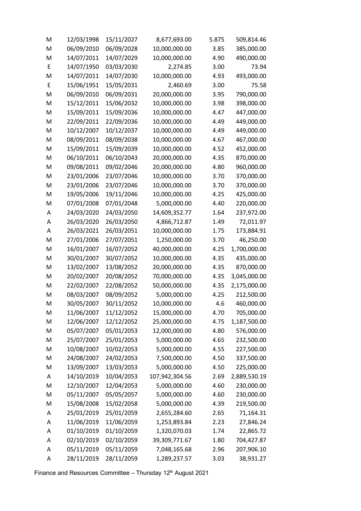| M | 12/03/1998 | 15/11/2027 | 8,677,693.00   | 5.875 | 509,814.46   |
|---|------------|------------|----------------|-------|--------------|
| M | 06/09/2010 | 06/09/2028 | 10,000,000.00  | 3.85  | 385,000.00   |
| M | 14/07/2011 | 14/07/2029 | 10,000,000.00  | 4.90  | 490,000.00   |
| E | 14/07/1950 | 03/03/2030 | 2,274.85       | 3.00  | 73.94        |
| M | 14/07/2011 | 14/07/2030 | 10,000,000.00  | 4.93  | 493,000.00   |
| E | 15/06/1951 | 15/05/2031 | 2,460.69       | 3.00  | 75.58        |
| M | 06/09/2010 | 06/09/2031 | 20,000,000.00  | 3.95  | 790,000.00   |
| M | 15/12/2011 | 15/06/2032 | 10,000,000.00  | 3.98  | 398,000.00   |
| M | 15/09/2011 | 15/09/2036 | 10,000,000.00  | 4.47  | 447,000.00   |
| M | 22/09/2011 | 22/09/2036 | 10,000,000.00  | 4.49  | 449,000.00   |
| M | 10/12/2007 | 10/12/2037 | 10,000,000.00  | 4.49  | 449,000.00   |
| M | 08/09/2011 | 08/09/2038 | 10,000,000.00  | 4.67  | 467,000.00   |
| M | 15/09/2011 | 15/09/2039 | 10,000,000.00  | 4.52  | 452,000.00   |
| M | 06/10/2011 | 06/10/2043 | 20,000,000.00  | 4.35  | 870,000.00   |
| M | 09/08/2011 | 09/02/2046 | 20,000,000.00  | 4.80  | 960,000.00   |
| M | 23/01/2006 | 23/07/2046 | 10,000,000.00  | 3.70  | 370,000.00   |
| M | 23/01/2006 | 23/07/2046 | 10,000,000.00  | 3.70  | 370,000.00   |
| M | 19/05/2006 | 19/11/2046 | 10,000,000.00  | 4.25  | 425,000.00   |
| M | 07/01/2008 | 07/01/2048 | 5,000,000.00   | 4.40  | 220,000.00   |
| Α | 24/03/2020 | 24/03/2050 | 14,609,352.77  | 1.64  | 237,972.00   |
| А | 26/03/2020 | 26/03/2050 | 4,866,712.87   | 1.49  | 72,011.97    |
| Α | 26/03/2021 | 26/03/2051 | 10,000,000.00  | 1.75  | 173,884.91   |
| M | 27/01/2006 | 27/07/2051 | 1,250,000.00   | 3.70  | 46,250.00    |
| M | 16/01/2007 | 16/07/2052 | 40,000,000.00  | 4.25  | 1,700,000.00 |
| M | 30/01/2007 | 30/07/2052 | 10,000,000.00  | 4.35  | 435,000.00   |
| M | 13/02/2007 | 13/08/2052 | 20,000,000.00  | 4.35  | 870,000.00   |
| M | 20/02/2007 | 20/08/2052 | 70,000,000.00  | 4.35  | 3,045,000.00 |
| M | 22/02/2007 | 22/08/2052 | 50,000,000.00  | 4.35  | 2,175,000.00 |
| M | 08/03/2007 | 08/09/2052 | 5,000,000.00   | 4.25  | 212,500.00   |
| M | 30/05/2007 | 30/11/2052 | 10,000,000.00  | 4.6   | 460,000.00   |
| M | 11/06/2007 | 11/12/2052 | 15,000,000.00  | 4.70  | 705,000.00   |
| M | 12/06/2007 | 12/12/2052 | 25,000,000.00  | 4.75  | 1,187,500.00 |
| M | 05/07/2007 | 05/01/2053 | 12,000,000.00  | 4.80  | 576,000.00   |
| M | 25/07/2007 | 25/01/2053 | 5,000,000.00   | 4.65  | 232,500.00   |
| M | 10/08/2007 | 10/02/2053 | 5,000,000.00   | 4.55  | 227,500.00   |
| M | 24/08/2007 | 24/02/2053 | 7,500,000.00   | 4.50  | 337,500.00   |
| M | 13/09/2007 | 13/03/2053 | 5,000,000.00   | 4.50  | 225,000.00   |
| Α | 14/10/2019 | 10/04/2053 | 107,942,304.56 | 2.69  | 2,889,530.19 |
| M | 12/10/2007 | 12/04/2053 | 5,000,000.00   | 4.60  | 230,000.00   |
| M | 05/11/2007 | 05/05/2057 | 5,000,000.00   | 4.60  | 230,000.00   |
| M | 15/08/2008 | 15/02/2058 | 5,000,000.00   | 4.39  | 219,500.00   |
| A | 25/01/2019 | 25/01/2059 | 2,655,284.60   | 2.65  | 71,164.31    |
| A | 11/06/2019 | 11/06/2059 | 1,253,893.84   | 2.23  | 27,846.24    |
| A | 01/10/2019 | 01/10/2059 | 1,320,070.03   | 1.74  | 22,865.72    |
| A | 02/10/2019 | 02/10/2059 | 39,309,771.67  | 1.80  | 704,427.87   |
| A | 05/11/2019 | 05/11/2059 | 7,048,165.68   | 2.96  | 207,906.10   |
| Α | 28/11/2019 | 28/11/2059 | 1,289,237.57   | 3.03  | 38,931.27    |

Finance and Resources Committee – Thursday 12th August 2021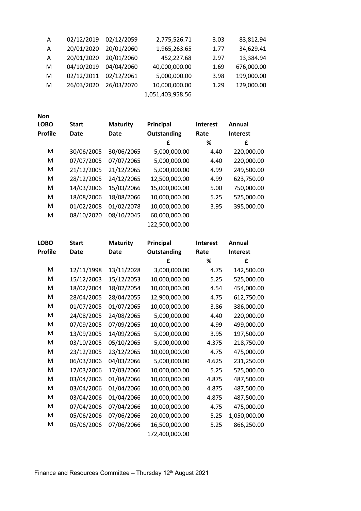| Α | 02/12/2019 | 02/12/2059 | 2,775,526.71     | 3.03 | 83,812.94  |
|---|------------|------------|------------------|------|------------|
| A | 20/01/2020 | 20/01/2060 | 1,965,263.65     | 1.77 | 34,629.41  |
| A | 20/01/2020 | 20/01/2060 | 452,227.68       | 2.97 | 13,384.94  |
| м | 04/10/2019 | 04/04/2060 | 40,000,000.00    | 1.69 | 676,000.00 |
| м | 02/12/2011 | 02/12/2061 | 5,000,000.00     | 3.98 | 199,000.00 |
| м | 26/03/2020 | 26/03/2070 | 10,000,000.00    | 1.29 | 129,000.00 |
|   |            |            | 1,051,403,958.56 |      |            |

| <b>Non</b>     |              |                 |                |                 |                 |
|----------------|--------------|-----------------|----------------|-----------------|-----------------|
| <b>LOBO</b>    | <b>Start</b> | <b>Maturity</b> | Principal      | <b>Interest</b> | Annual          |
| <b>Profile</b> | Date         | Date            | Outstanding    | Rate            | <b>Interest</b> |
|                |              |                 | £              | ℅               | £               |
| M              | 30/06/2005   | 30/06/2065      | 5,000,000.00   | 4.40            | 220,000.00      |
| M              | 07/07/2005   | 07/07/2065      | 5,000,000.00   | 4.40            | 220,000.00      |
| M              | 21/12/2005   | 21/12/2065      | 5,000,000.00   | 4.99            | 249,500.00      |
| м              | 28/12/2005   | 24/12/2065      | 12,500,000.00  | 4.99            | 623,750.00      |
| М              | 14/03/2006   | 15/03/2066      | 15,000,000.00  | 5.00            | 750,000.00      |
| M              | 18/08/2006   | 18/08/2066      | 10,000,000.00  | 5.25            | 525,000.00      |
| М              | 01/02/2008   | 01/02/2078      | 10,000,000.00  | 3.95            | 395,000.00      |
| M              | 08/10/2020   | 08/10/2045      | 60,000,000.00  |                 |                 |
|                |              |                 | 122,500,000.00 |                 |                 |

| <b>LOBO</b>    | <b>Start</b> | <b>Maturity</b> | Principal          | <b>Interest</b> | Annual          |
|----------------|--------------|-----------------|--------------------|-----------------|-----------------|
| <b>Profile</b> | <b>Date</b>  | Date            | <b>Outstanding</b> | Rate            | <b>Interest</b> |
|                |              |                 | £                  | ℅               | £               |
| M              | 12/11/1998   | 13/11/2028      | 3,000,000.00       | 4.75            | 142,500.00      |
| M              | 15/12/2003   | 15/12/2053      | 10,000,000.00      | 5.25            | 525,000.00      |
| M              | 18/02/2004   | 18/02/2054      | 10,000,000.00      | 4.54            | 454,000.00      |
| M              | 28/04/2005   | 28/04/2055      | 12,900,000.00      | 4.75            | 612,750.00      |
| M              | 01/07/2005   | 01/07/2065      | 10,000,000.00      | 3.86            | 386,000.00      |
| M              | 24/08/2005   | 24/08/2065      | 5,000,000.00       | 4.40            | 220,000.00      |
| M              | 07/09/2005   | 07/09/2065      | 10,000,000.00      | 4.99            | 499,000.00      |
| M              | 13/09/2005   | 14/09/2065      | 5,000,000.00       | 3.95            | 197,500.00      |
| M              | 03/10/2005   | 05/10/2065      | 5,000,000.00       | 4.375           | 218,750.00      |
| M              | 23/12/2005   | 23/12/2065      | 10,000,000.00      | 4.75            | 475,000.00      |
| M              | 06/03/2006   | 04/03/2066      | 5,000,000.00       | 4.625           | 231,250.00      |
| М              | 17/03/2006   | 17/03/2066      | 10,000,000.00      | 5.25            | 525,000.00      |
| M              | 03/04/2006   | 01/04/2066      | 10,000,000.00      | 4.875           | 487,500.00      |
| M              | 03/04/2006   | 01/04/2066      | 10,000,000.00      | 4.875           | 487,500.00      |
| M              | 03/04/2006   | 01/04/2066      | 10,000,000.00      | 4.875           | 487,500.00      |
| M              | 07/04/2006   | 07/04/2066      | 10,000,000.00      | 4.75            | 475,000.00      |
| M              | 05/06/2006   | 07/06/2066      | 20,000,000.00      | 5.25            | 1,050,000.00    |
| M              | 05/06/2006   | 07/06/2066      | 16,500,000.00      | 5.25            | 866,250.00      |
|                |              |                 | 172,400,000.00     |                 |                 |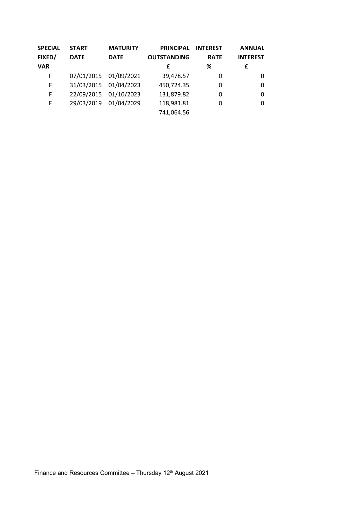| <b>SPECIAL</b> | <b>START</b> | <b>MATURITY</b>       | <b>PRINCIPAL</b>   | <b>INTEREST</b> | <b>ANNUAL</b>   |
|----------------|--------------|-----------------------|--------------------|-----------------|-----------------|
| FIXED/         | <b>DATE</b>  | <b>DATE</b>           | <b>OUTSTANDING</b> | <b>RATE</b>     | <b>INTEREST</b> |
| <b>VAR</b>     |              |                       | £                  | ℅               | £               |
| F              |              | 07/01/2015 01/09/2021 | 39,478.57          | 0               | 0               |
| F              |              | 31/03/2015 01/04/2023 | 450,724.35         | 0               | 0               |
| F              | 22/09/2015   | 01/10/2023            | 131,879.82         | 0               | 0               |
| F              | 29/03/2019   | 01/04/2029            | 118,981.81         | 0               | 0               |
|                |              |                       | 741,064.56         |                 |                 |